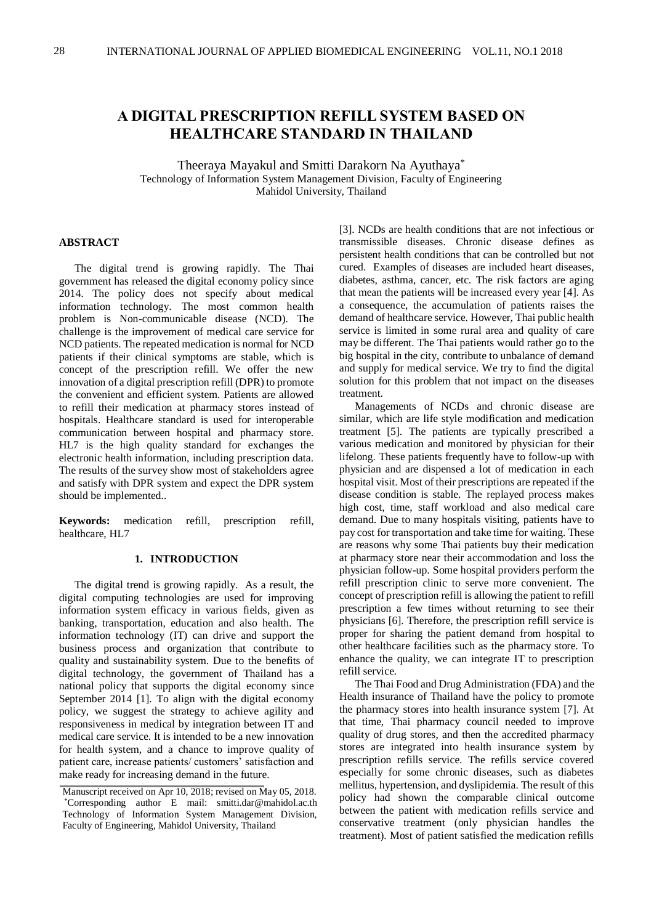# **A DIGITAL PRESCRIPTION REFILL SYSTEM BASED ON HEALTHCARE STANDARD IN THAILAND**

Theeraya Mayakul and Smitti Darakorn Na Ayuthaya\* Technology of Information System Management Division, Faculty of Engineering Mahidol University, Thailand

# **ABSTRACT**

The digital trend is growing rapidly. The Thai government has released the digital economy policy since 2014. The policy does not specify about medical information technology. The most common health problem is Non-communicable disease (NCD). The challenge is the improvement of medical care service for NCD patients. The repeated medication is normal for NCD patients if their clinical symptoms are stable, which is concept of the prescription refill. We offer the new innovation of a digital prescription refill (DPR) to promote the convenient and efficient system. Patients are allowed to refill their medication at pharmacy stores instead of hospitals. Healthcare standard is used for interoperable communication between hospital and pharmacy store. HL7 is the high quality standard for exchanges the electronic health information, including prescription data. The results of the survey show most of stakeholders agree and satisfy with DPR system and expect the DPR system should be implemented..

**Keywords:** medication refill, prescription refill, healthcare, HL7

# **1. INTRODUCTION**

The digital trend is growing rapidly. As a result, the digital computing technologies are used for improving information system efficacy in various fields, given as banking, transportation, education and also health. The information technology (IT) can drive and support the business process and organization that contribute to quality and sustainability system. Due to the benefits of digital technology, the government of Thailand has a national policy that supports the digital economy since September 2014 [1]. To align with the digital economy policy, we suggest the strategy to achieve agility and responsiveness in medical by integration between IT and medical care service. It is intended to be a new innovation for health system, and a chance to improve quality of patient care, increase patients/ customers' satisfaction and make ready for increasing demand in the future.

[3]. NCDs are health conditions that are not infectious or transmissible diseases. Chronic disease defines as persistent health conditions that can be controlled but not cured. Examples of diseases are included heart diseases, diabetes, asthma, cancer, etc. The risk factors are aging that mean the patients will be increased every year [4]. As a consequence, the accumulation of patients raises the demand of healthcare service. However, Thai public health service is limited in some rural area and quality of care may be different. The Thai patients would rather go to the big hospital in the city, contribute to unbalance of demand and supply for medical service. We try to find the digital solution for this problem that not impact on the diseases treatment.

Managements of NCDs and chronic disease are similar, which are life style modification and medication treatment [5]. The patients are typically prescribed a various medication and monitored by physician for their lifelong. These patients frequently have to follow-up with physician and are dispensed a lot of medication in each hospital visit. Most of their prescriptions are repeated if the disease condition is stable. The replayed process makes high cost, time, staff workload and also medical care demand. Due to many hospitals visiting, patients have to pay cost for transportation and take time for waiting. These are reasons why some Thai patients buy their medication at pharmacy store near their accommodation and loss the physician follow-up. Some hospital providers perform the refill prescription clinic to serve more convenient. The concept of prescription refill is allowing the patient to refill prescription a few times without returning to see their physicians [6]. Therefore, the prescription refill service is proper for sharing the patient demand from hospital to other healthcare facilities such as the pharmacy store. To enhance the quality, we can integrate IT to prescription refill service.

The Thai Food and Drug Administration (FDA) and the Health insurance of Thailand have the policy to promote the pharmacy stores into health insurance system [7]. At that time, Thai pharmacy council needed to improve quality of drug stores, and then the accredited pharmacy stores are integrated into health insurance system by prescription refills service. The refills service covered especially for some chronic diseases, such as diabetes mellitus, hypertension, and dyslipidemia. The result of this policy had shown the comparable clinical outcome between the patient with medication refills service and conservative treatment (only physician handles the treatment). Most of patient satisfied the medication refills

Technology of Information System Management Division, Faculty of Engineering, Mahidol University, Thailand Manuscript received on Apr 10, 2018; revised on May 05, 2018. \*Corresponding author E mail: smitti.dar@mahidol.ac.th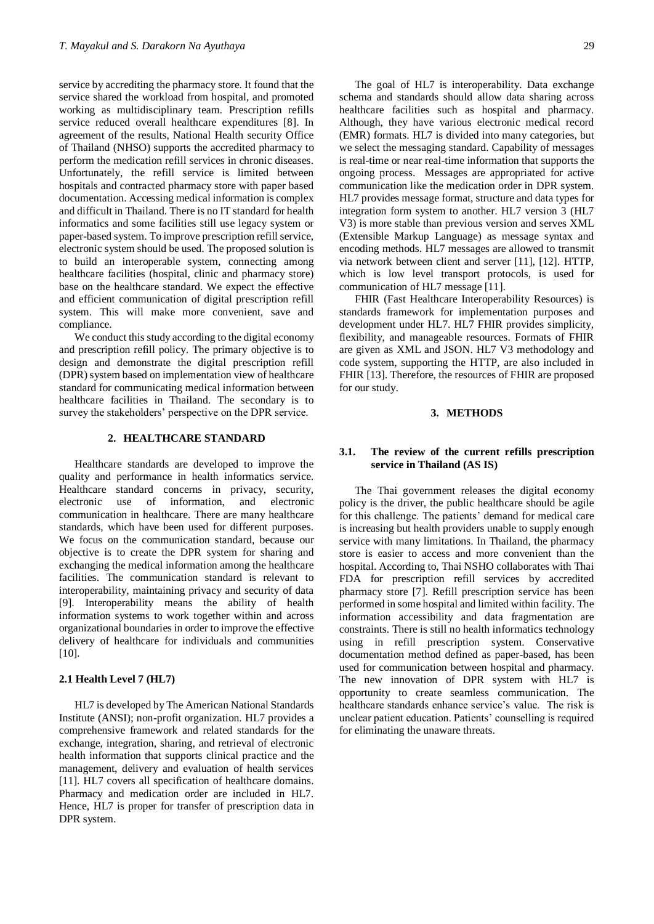service by accrediting the pharmacy store. It found that the service shared the workload from hospital, and promoted working as multidisciplinary team. Prescription refills service reduced overall healthcare expenditures [8]. In agreement of the results, National Health security Office of Thailand (NHSO) supports the accredited pharmacy to perform the medication refill services in chronic diseases. Unfortunately, the refill service is limited between hospitals and contracted pharmacy store with paper based documentation. Accessing medical information is complex and difficult in Thailand. There is no IT standard for health informatics and some facilities still use legacy system or paper-based system. To improve prescription refill service, electronic system should be used. The proposed solution is to build an interoperable system, connecting among healthcare facilities (hospital, clinic and pharmacy store) base on the healthcare standard. We expect the effective and efficient communication of digital prescription refill system. This will make more convenient, save and compliance.

We conduct this study according to the digital economy and prescription refill policy. The primary objective is to design and demonstrate the digital prescription refill (DPR) system based on implementation view of healthcare standard for communicating medical information between healthcare facilities in Thailand. The secondary is to survey the stakeholders' perspective on the DPR service.

# **2. HEALTHCARE STANDARD**

Healthcare standards are developed to improve the quality and performance in health informatics service. Healthcare standard concerns in privacy, security, electronic use of information, and electronic communication in healthcare. There are many healthcare standards, which have been used for different purposes. We focus on the communication standard, because our objective is to create the DPR system for sharing and exchanging the medical information among the healthcare facilities. The communication standard is relevant to interoperability, maintaining privacy and security of data [9]. Interoperability means the ability of health information systems to work together within and across organizational boundaries in order to improve the effective delivery of healthcare for individuals and communities [10].

#### **2.1 Health Level 7 (HL7)**

HL7 is developed by The American National Standards Institute (ANSI); non-profit organization. HL7 provides a comprehensive framework and related standards for the exchange, integration, sharing, and retrieval of electronic health information that supports clinical practice and the management, delivery and evaluation of health services [11]. HL7 covers all specification of healthcare domains. Pharmacy and medication order are included in HL7. Hence, HL7 is proper for transfer of prescription data in DPR system.

The goal of HL7 is interoperability. Data exchange schema and standards should allow data sharing across healthcare facilities such as hospital and pharmacy. Although, they have various electronic medical record (EMR) formats. HL7 is divided into many categories, but we select the messaging standard. Capability of messages is real-time or near real-time information that supports the ongoing process. Messages are appropriated for active communication like the medication order in DPR system. HL7 provides message format, structure and data types for integration form system to another. HL7 version 3 (HL7 V3) is more stable than previous version and serves XML (Extensible Markup Language) as message syntax and encoding methods. HL7 messages are allowed to transmit via network between client and server [11], [12]. HTTP, which is low level transport protocols, is used for communication of HL7 message [11].

FHIR (Fast Healthcare Interoperability Resources) is standards framework for implementation purposes and development under HL7. HL7 FHIR provides simplicity, flexibility, and manageable resources. Formats of FHIR are given as XML and JSON. HL7 V3 methodology and code system, supporting the HTTP, are also included in FHIR [13]. Therefore, the resources of FHIR are proposed for our study.

# **3. METHODS**

# **3.1. The review of the current refills prescription service in Thailand (AS IS)**

The Thai government releases the digital economy policy is the driver, the public healthcare should be agile for this challenge. The patients' demand for medical care is increasing but health providers unable to supply enough service with many limitations. In Thailand, the pharmacy store is easier to access and more convenient than the hospital. According to, Thai NSHO collaborates with Thai FDA for prescription refill services by accredited pharmacy store [7]. Refill prescription service has been performed in some hospital and limited within facility. The information accessibility and data fragmentation are constraints. There is still no health informatics technology using in refill prescription system. Conservative documentation method defined as paper-based, has been used for communication between hospital and pharmacy. The new innovation of DPR system with HL7 is opportunity to create seamless communication. The healthcare standards enhance service's value. The risk is unclear patient education. Patients' counselling is required for eliminating the unaware threats.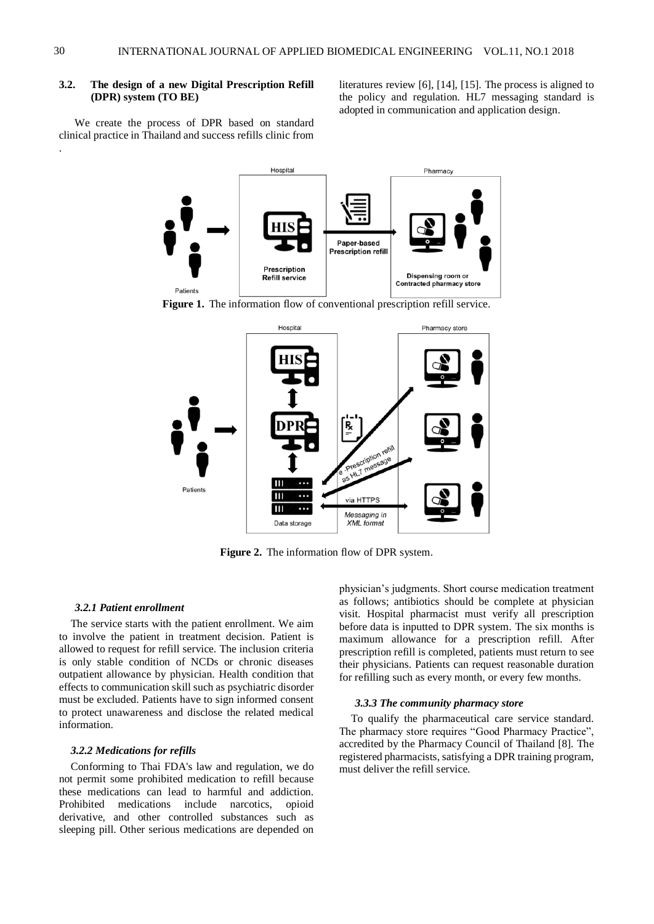# **3.2. The design of a new Digital Prescription Refill (DPR) system (TO BE)**

literatures review [6], [14], [15]. The process is aligned to the policy and regulation. HL7 messaging standard is adopted in communication and application design.

We create the process of DPR based on standard clinical practice in Thailand and success refills clinic from



**Figure 1.** The information flow of conventional prescription refill service.



**Figure 2.** The information flow of DPR system.

### *3.2.1 Patient enrollment*

The service starts with the patient enrollment. We aim to involve the patient in treatment decision. Patient is allowed to request for refill service. The inclusion criteria is only stable condition of NCDs or chronic diseases outpatient allowance by physician. Health condition that effects to communication skill such as psychiatric disorder must be excluded. Patients have to sign informed consent to protect unawareness and disclose the related medical information.

### *3.2.2 Medications for refills*

Conforming to Thai FDA's law and regulation, we do not permit some prohibited medication to refill because these medications can lead to harmful and addiction. Prohibited medications include narcotics, opioid derivative, and other controlled substances such as sleeping pill. Other serious medications are depended on

physician's judgments. Short course medication treatment as follows; antibiotics should be complete at physician visit. Hospital pharmacist must verify all prescription before data is inputted to DPR system. The six months is maximum allowance for a prescription refill. After prescription refill is completed, patients must return to see their physicians. Patients can request reasonable duration for refilling such as every month, or every few months.

#### *3.3.3 The community pharmacy store*

To qualify the pharmaceutical care service standard. The pharmacy store requires "Good Pharmacy Practice", accredited by the Pharmacy Council of Thailand [8]. The registered pharmacists, satisfying a DPR training program, must deliver the refill service.

.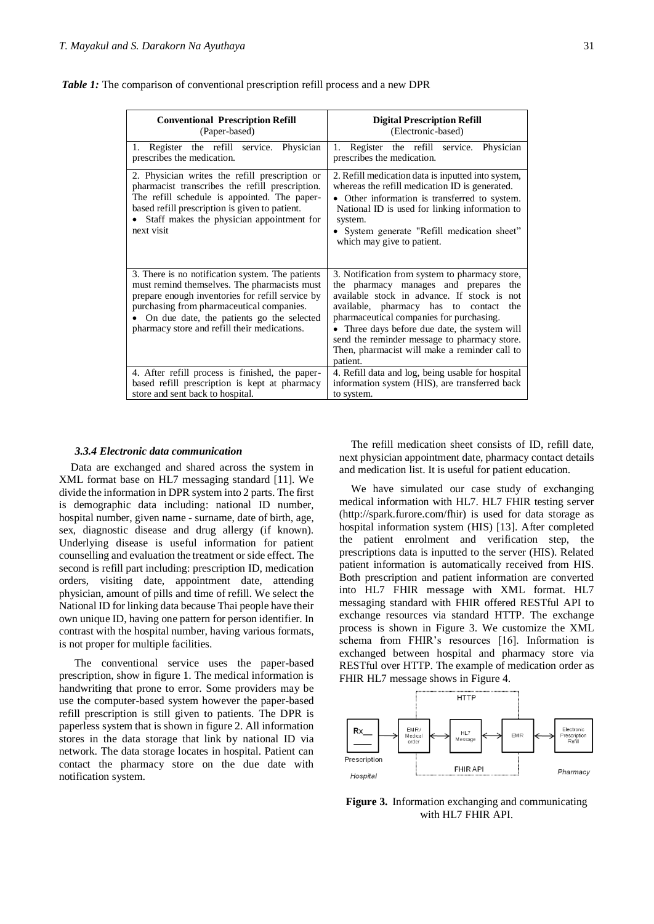| <b>Conventional Prescription Refill</b><br>(Paper-based)                                                                                                                                                                                                                                       | <b>Digital Prescription Refill</b><br>(Electronic-based)                                                                                                                                                                                                                                                                                                                                    |
|------------------------------------------------------------------------------------------------------------------------------------------------------------------------------------------------------------------------------------------------------------------------------------------------|---------------------------------------------------------------------------------------------------------------------------------------------------------------------------------------------------------------------------------------------------------------------------------------------------------------------------------------------------------------------------------------------|
| 1. Register the refill service. Physician<br>prescribes the medication.                                                                                                                                                                                                                        | Register the refill service.<br>Physician<br>1.<br>prescribes the medication.                                                                                                                                                                                                                                                                                                               |
| 2. Physician writes the refill prescription or<br>pharmacist transcribes the refill prescription.<br>The refill schedule is appointed. The paper-<br>based refill prescription is given to patient.<br>Staff makes the physician appointment for<br>next visit                                 | 2. Refill medication data is inputted into system,<br>whereas the refill medication ID is generated.<br>• Other information is transferred to system.<br>National ID is used for linking information to<br>system.<br>• System generate "Refill medication sheet"<br>which may give to patient.                                                                                             |
| 3. There is no notification system. The patients<br>must remind themselves. The pharmacists must<br>prepare enough inventories for refill service by<br>purchasing from pharmaceutical companies.<br>On due date, the patients go the selected<br>pharmacy store and refill their medications. | 3. Notification from system to pharmacy store,<br>the pharmacy manages and prepares the<br>available stock in advance. If stock is not<br>available, pharmacy has to contact<br>the<br>pharmaceutical companies for purchasing.<br>Three days before due date, the system will<br>send the reminder message to pharmacy store.<br>Then, pharmacist will make a reminder call to<br>patient. |
| 4. After refill process is finished, the paper-<br>based refill prescription is kept at pharmacy<br>store and sent back to hospital.                                                                                                                                                           | 4. Refill data and log, being usable for hospital<br>information system (HIS), are transferred back<br>to system.                                                                                                                                                                                                                                                                           |

*Table 1:* The comparison of conventional prescription refill process and a new DPR

# *3.3.4 Electronic data communication*

Data are exchanged and shared across the system in XML format base on HL7 messaging standard [11]. We divide the information in DPR system into 2 parts. The first is demographic data including: national ID number, hospital number, given name - surname, date of birth, age, sex, diagnostic disease and drug allergy (if known). Underlying disease is useful information for patient counselling and evaluation the treatment or side effect. The second is refill part including: prescription ID, medication orders, visiting date, appointment date, attending physician, amount of pills and time of refill. We select the National ID for linking data because Thai people have their own unique ID, having one pattern for person identifier. In contrast with the hospital number, having various formats, is not proper for multiple facilities.

The conventional service uses the paper-based prescription, show in figure 1. The medical information is handwriting that prone to error. Some providers may be use the computer-based system however the paper-based refill prescription is still given to patients. The DPR is paperless system that is shown in figure 2. All information stores in the data storage that link by national ID via network. The data storage locates in hospital. Patient can contact the pharmacy store on the due date with notification system.

The refill medication sheet consists of ID, refill date, next physician appointment date, pharmacy contact details and medication list. It is useful for patient education.

We have simulated our case study of exchanging medical information with HL7. HL7 FHIR testing server (http://spark.furore.com/fhir) is used for data storage as hospital information system (HIS) [13]. After completed the patient enrolment and verification step, the prescriptions data is inputted to the server (HIS). Related patient information is automatically received from HIS. Both prescription and patient information are converted into HL7 FHIR message with XML format. HL7 messaging standard with FHIR offered RESTful API to exchange resources via standard HTTP. The exchange process is shown in Figure 3. We customize the XML schema from FHIR's resources [16]. Information is exchanged between hospital and pharmacy store via RESTful over HTTP. The example of medication order as FHIR HL7 message shows in Figure 4.



**Figure 3.** Information exchanging and communicating with HL7 FHIR API.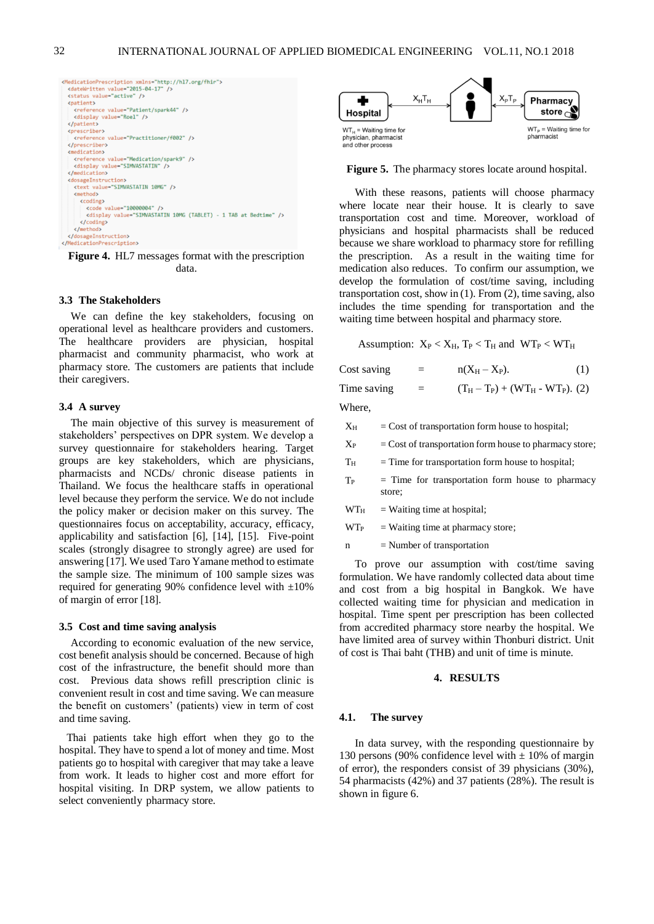

**Figure 4.** HL7 messages format with the prescription data.

#### **3.3 The Stakeholders**

We can define the key stakeholders, focusing on operational level as healthcare providers and customers. The healthcare providers are physician, hospital pharmacist and community pharmacist, who work at pharmacy store. The customers are patients that include their caregivers.

# **3.4 A survey**

The main objective of this survey is measurement of stakeholders' perspectives on DPR system. We develop a survey questionnaire for stakeholders hearing. Target groups are key stakeholders, which are physicians, pharmacists and NCDs/ chronic disease patients in Thailand. We focus the healthcare staffs in operational level because they perform the service. We do not include the policy maker or decision maker on this survey. The questionnaires focus on acceptability, accuracy, efficacy, applicability and satisfaction [6], [14], [15]. Five-point scales (strongly disagree to strongly agree) are used for answering [17]. We used Taro Yamane method to estimate the sample size. The minimum of 100 sample sizes was required for generating 90% confidence level with  $\pm 10\%$ of margin of error [18].

#### **3.5 Cost and time saving analysis**

According to economic evaluation of the new service, cost benefit analysis should be concerned. Because of high cost of the infrastructure, the benefit should more than cost. Previous data shows refill prescription clinic is convenient result in cost and time saving. We can measure the benefit on customers' (patients) view in term of cost and time saving.

Thai patients take high effort when they go to the hospital. They have to spend a lot of money and time. Most patients go to hospital with caregiver that may take a leave from work. It leads to higher cost and more effort for hospital visiting. In DRP system, we allow patients to select conveniently pharmacy store.



**Figure 5.** The pharmacy stores locate around hospital.

With these reasons, patients will choose pharmacy where locate near their house. It is clearly to save transportation cost and time. Moreover, workload of physicians and hospital pharmacists shall be reduced because we share workload to pharmacy store for refilling the prescription. As a result in the waiting time for medication also reduces. To confirm our assumption, we develop the formulation of cost/time saving, including transportation cost, show in (1). From (2), time saving, also includes the time spending for transportation and the waiting time between hospital and pharmacy store.

Assumption:  $X_P < X_H$ ,  $T_P < T_H$  and  $WT_P < WT_H$ 

Cost saving  $=$   $n(X_H - X_P)$ . (1) Time saving  $=$   $(T_H - T_P) + (WT_H - WT_P).$  (2)

Where,

 $X_H$  = Cost of transportation form house to hospital;

 $X_{P}$  = Cost of transportation form house to pharmacy store;

 $T_H$  = Time for transportation form house to hospital;

- $T_P$  = Time for transportation form house to pharmacy store;
- $WT_{\text{H}}$  = Waiting time at hospital;

 $WT<sub>P</sub>$  = Waiting time at pharmacy store;

 $n =$  Number of transportation

To prove our assumption with cost/time saving formulation. We have randomly collected data about time and cost from a big hospital in Bangkok. We have collected waiting time for physician and medication in hospital. Time spent per prescription has been collected from accredited pharmacy store nearby the hospital. We have limited area of survey within Thonburi district. Unit of cost is Thai baht (THB) and unit of time is minute.

#### **4. RESULTS**

#### **4.1. The survey**

In data survey, with the responding questionnaire by 130 persons (90% confidence level with  $\pm$  10% of margin of error), the responders consist of 39 physicians (30%), 54 pharmacists (42%) and 37 patients (28%). The result is shown in figure 6.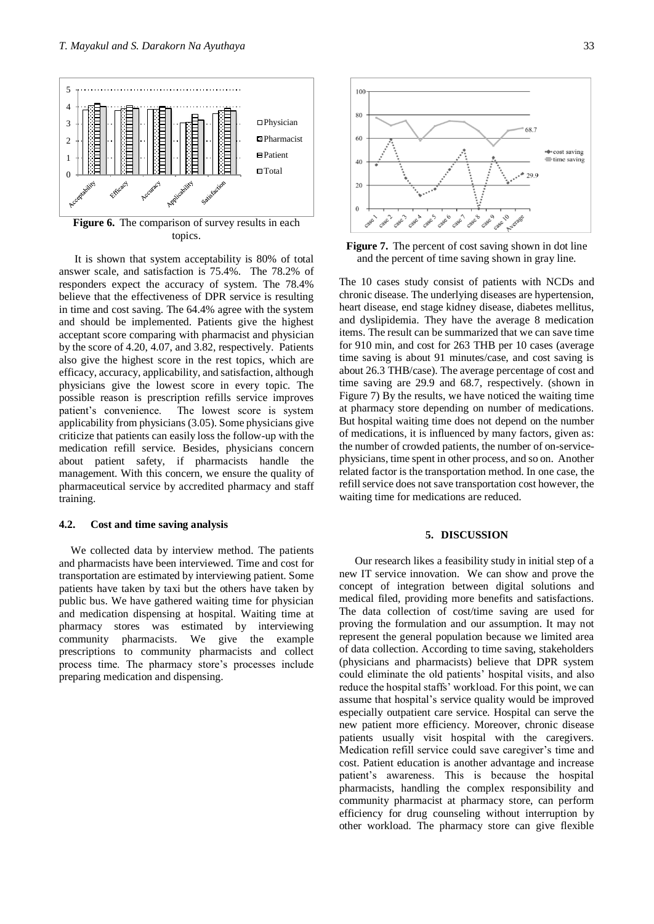

**Figure 6.** The comparison of survey results in each topics.

It is shown that system acceptability is 80% of total answer scale, and satisfaction is 75.4%. The 78.2% of responders expect the accuracy of system. The 78.4% believe that the effectiveness of DPR service is resulting in time and cost saving. The 64.4% agree with the system and should be implemented. Patients give the highest acceptant score comparing with pharmacist and physician by the score of 4.20, 4.07, and 3.82, respectively. Patients also give the highest score in the rest topics, which are efficacy, accuracy, applicability, and satisfaction, although physicians give the lowest score in every topic. The possible reason is prescription refills service improves patient's convenience. The lowest score is system applicability from physicians (3.05). Some physicians give criticize that patients can easily loss the follow-up with the medication refill service. Besides, physicians concern about patient safety, if pharmacists handle the management. With this concern, we ensure the quality of pharmaceutical service by accredited pharmacy and staff training.

# **4.2. Cost and time saving analysis**

We collected data by interview method. The patients and pharmacists have been interviewed. Time and cost for transportation are estimated by interviewing patient. Some patients have taken by taxi but the others have taken by public bus. We have gathered waiting time for physician and medication dispensing at hospital. Waiting time at pharmacy stores was estimated by interviewing community pharmacists. We give the example prescriptions to community pharmacists and collect process time. The pharmacy store's processes include preparing medication and dispensing.



**Figure 7.** The percent of cost saving shown in dot line and the percent of time saving shown in gray line.

The 10 cases study consist of patients with NCDs and chronic disease. The underlying diseases are hypertension, heart disease, end stage kidney disease, diabetes mellitus, and dyslipidemia. They have the average 8 medication items. The result can be summarized that we can save time for 910 min, and cost for 263 THB per 10 cases (average time saving is about 91 minutes/case, and cost saving is about 26.3 THB/case). The average percentage of cost and time saving are 29.9 and 68.7, respectively. (shown in Figure 7) By the results, we have noticed the waiting time at pharmacy store depending on number of medications. But hospital waiting time does not depend on the number of medications, it is influenced by many factors, given as: the number of crowded patients, the number of on-servicephysicians, time spent in other process, and so on. Another related factor is the transportation method. In one case, the refill service does not save transportation cost however, the waiting time for medications are reduced.

# **5. DISCUSSION**

Our research likes a feasibility study in initial step of a new IT service innovation. We can show and prove the concept of integration between digital solutions and medical filed, providing more benefits and satisfactions. The data collection of cost/time saving are used for proving the formulation and our assumption. It may not represent the general population because we limited area of data collection. According to time saving, stakeholders (physicians and pharmacists) believe that DPR system could eliminate the old patients' hospital visits, and also reduce the hospital staffs' workload. For this point, we can assume that hospital's service quality would be improved especially outpatient care service. Hospital can serve the new patient more efficiency. Moreover, chronic disease patients usually visit hospital with the caregivers. Medication refill service could save caregiver's time and cost. Patient education is another advantage and increase patient's awareness. This is because the hospital pharmacists, handling the complex responsibility and community pharmacist at pharmacy store, can perform efficiency for drug counseling without interruption by other workload. The pharmacy store can give flexible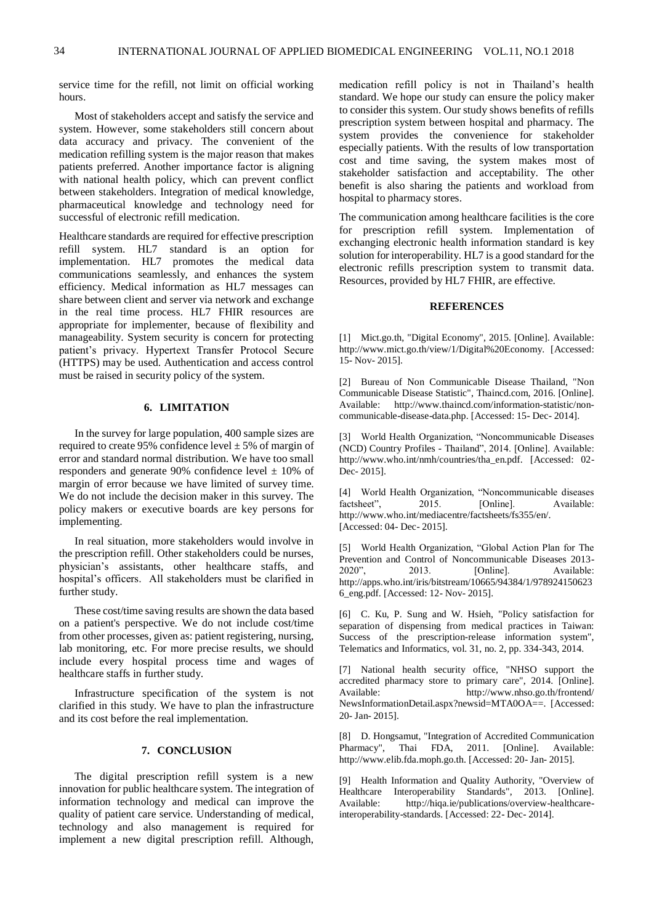service time for the refill, not limit on official working hours.

Most of stakeholders accept and satisfy the service and system. However, some stakeholders still concern about data accuracy and privacy. The convenient of the medication refilling system is the major reason that makes patients preferred. Another importance factor is aligning with national health policy, which can prevent conflict between stakeholders. Integration of medical knowledge, pharmaceutical knowledge and technology need for successful of electronic refill medication.

Healthcare standards are required for effective prescription refill system. HL7 standard is an option for implementation. HL7 promotes the medical data communications seamlessly, and enhances the system efficiency. Medical information as HL7 messages can share between client and server via network and exchange in the real time process. HL7 FHIR resources are appropriate for implementer, because of flexibility and manageability. System security is concern for protecting patient's privacy. Hypertext Transfer Protocol Secure (HTTPS) may be used. Authentication and access control must be raised in security policy of the system.

# **6. LIMITATION**

In the survey for large population, 400 sample sizes are required to create 95% confidence level  $\pm$  5% of margin of error and standard normal distribution. We have too small responders and generate 90% confidence level  $\pm$  10% of margin of error because we have limited of survey time. We do not include the decision maker in this survey. The policy makers or executive boards are key persons for implementing.

In real situation, more stakeholders would involve in the prescription refill. Other stakeholders could be nurses, physician's assistants, other healthcare staffs, and hospital's officers. All stakeholders must be clarified in further study.

These cost/time saving results are shown the data based on a patient's perspective. We do not include cost/time from other processes, given as: patient registering, nursing, lab monitoring, etc. For more precise results, we should include every hospital process time and wages of healthcare staffs in further study.

Infrastructure specification of the system is not clarified in this study. We have to plan the infrastructure and its cost before the real implementation.

# **7. CONCLUSION**

The digital prescription refill system is a new innovation for public healthcare system. The integration of information technology and medical can improve the quality of patient care service. Understanding of medical, technology and also management is required for implement a new digital prescription refill. Although,

medication refill policy is not in Thailand's health standard. We hope our study can ensure the policy maker to consider this system. Our study shows benefits of refills prescription system between hospital and pharmacy. The system provides the convenience for stakeholder especially patients. With the results of low transportation cost and time saving, the system makes most of stakeholder satisfaction and acceptability. The other benefit is also sharing the patients and workload from hospital to pharmacy stores.

The communication among healthcare facilities is the core for prescription refill system. Implementation of exchanging electronic health information standard is key solution for interoperability. HL7 is a good standard for the electronic refills prescription system to transmit data. Resources, provided by HL7 FHIR, are effective.

# **REFERENCES**

[1] Mict.go.th, "Digital Economy", 2015. [Online]. Available: http://www.mict.go.th/view/1/Digital%20Economy. [Accessed: 15- Nov- 2015].

[2] Bureau of Non Communicable Disease Thailand, "Non Communicable Disease Statistic", Thaincd.com, 2016. [Online]. Available: http://www.thaincd.com/information-statistic/noncommunicable-disease-data.php. [Accessed: 15- Dec- 2014].

[3] World Health Organization, "Noncommunicable Diseases (NCD) Country Profiles - Thailand", 2014. [Online]. Available: http://www.who.int/nmh/countries/tha\_en.pdf. [Accessed: 02- Dec- 2015].

[4] World Health Organization, "Noncommunicable diseases factsheet". 2015. [Online]. Available: factsheet", 2015. [Online]. Available: http://www.who.int/mediacentre/factsheets/fs355/en/. [Accessed: 04- Dec- 2015].

[5] World Health Organization, "Global Action Plan for The Prevention and Control of Noncommunicable Diseases 2013-<br>2020". 2013. [Online]. Available: Available: http://apps.who.int/iris/bitstream/10665/94384/1/978924150623 6\_eng.pdf. [Accessed: 12- Nov- 2015].

[6] C. Ku, P. Sung and W. Hsieh, "Policy satisfaction for separation of dispensing from medical practices in Taiwan: Success of the prescription-release information system", Telematics and Informatics, vol. 31, no. 2, pp. 334-343, 2014.

[7] National health security office, "NHSO support the accredited pharmacy store to primary care", 2014. [Online]. Available: http://www.nhso.go.th/frontend/ NewsInformationDetail.aspx?newsid=MTA0OA==. [Accessed: 20- Jan- 2015].

[8] D. Hongsamut, "Integration of Accredited Communication Pharmacy", Thai FDA, 2011. [Online]. Available: http://www.elib.fda.moph.go.th. [Accessed: 20- Jan- 2015].

[9] Health Information and Quality Authority, "Overview of Healthcare Interoperability Standards", 2013. [Online]. Available: http://hiqa.ie/publications/overview-healthcareinteroperability-standards. [Accessed: 22- Dec- 2014].